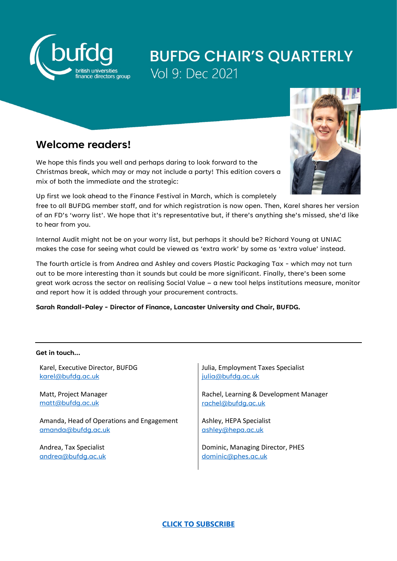

# **BUFDG CHAIR'S QUARTERLY** Vol 9: Dec 2021

### **Welcome readers!**

We hope this finds you well and perhaps daring to look forward to the Christmas break, which may or may not include a party! This edition covers a mix of both the immediate and the strategic:

Up first we look ahead to the Finance Festival in March, which is completely

free to all BUFDG member staff, and for which registration is now open. Then, Karel shares her version of an FD's 'worry list'. We hope that it's representative but, if there's anything she's missed, she'd like to hear from you.

Internal Audit might not be on your worry list, but perhaps it should be? Richard Young at UNIAC makes the case for seeing what could be viewed as 'extra work' by some as 'extra value' instead.

The fourth article is from Andrea and Ashley and covers Plastic Packaging Tax - which may not turn out to be more interesting than it sounds but could be more significant. Finally, there's been some great work across the sector on realising Social Value – a new tool helps institutions measure, monitor and report how it is added through your procurement contracts.

**Sarah Randall-Paley - Director of Finance, Lancaster University and Chair, BUFDG.** 

#### **Get in touch…**

Karel, Executive Director, BUFDG [karel@bufdg.ac.uk](mailto:karel@bufdg.ac.uk)

Matt, Project Manager [matt@bufdg.ac.uk](mailto:matt@bufdg.ac.uk)

Amanda, Head of Operations and Engagement [amanda@bufdg.ac.uk](mailto:amanda@bufdg.ac.uk)

Andrea, Tax Specialist [andrea@bufdg.ac.uk](mailto:andrea@bufdg.ac.uk) Julia, Employment Taxes Specialist [julia@bufdg.ac.uk](mailto:julia@bufdg.ac.uk)

Rachel, Learning & Development Manager [rachel@bufdg.ac.uk](mailto:rachel@bufdg.ac.uk)

Ashley, HEPA Specialist [ashley@hepa.ac.uk](mailto:ashley@hepa.ac.uk)

Dominic, Managing Director, PHES [dominic@phes.ac.uk](mailto:dominic@phes.ac.uk)

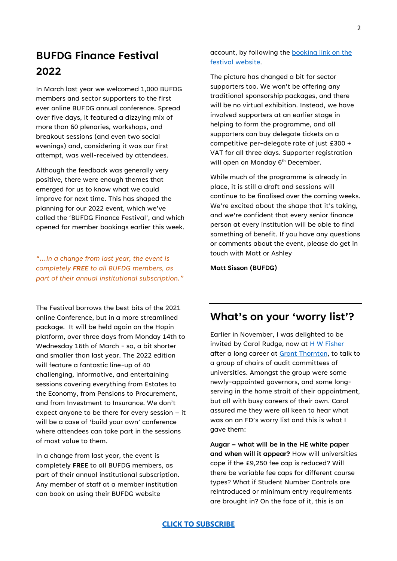### **BUFDG Finance Festival 2022**

In March last year we welcomed 1,000 BUFDG members and sector supporters to the first ever online BUFDG annual conference. Spread over five days, it featured a dizzying mix of more than 60 plenaries, workshops, and breakout sessions (and even two social evenings) and, considering it was our first attempt, was well-received by attendees.

Although the feedback was generally very positive, there were enough themes that emerged for us to know what we could improve for next time. This has shaped the planning for our 2022 event, which we've called the 'BUFDG Finance Festival', and which opened for member bookings earlier this week.

*"…In a change from last year, the event is completely FREE to all BUFDG members, as part of their annual institutional subscription."*

The Festival borrows the best bits of the 2021 online Conference, but in a more streamlined package. It will be held again on the Hopin platform, over three days from Monday 14th to Wednesday 16th of March - so, a bit shorter and smaller than last year. The 2022 edition will feature a fantastic line-up of 40 challenging, informative, and entertaining sessions covering everything from Estates to the Economy, from Pensions to Procurement, and from Investment to Insurance. We don't expect anyone to be there for every session – it will be a case of 'build your own' conference where attendees can take part in the sessions of most value to them.

In a change from last year, the event is completely **FREE** to all BUFDG members, as part of their annual institutional subscription. Any member of staff at a member institution can book on using their BUFDG website

account, by following the [booking link on the](https://professionalheservices.sharepoint.com/sites/phes/BUFDG/Conferences/2022/bufdg-finance-festival-2022/)  [festival website.](https://professionalheservices.sharepoint.com/sites/phes/BUFDG/Conferences/2022/bufdg-finance-festival-2022/)

The picture has changed a bit for sector supporters too. We won't be offering any traditional sponsorship packages, and there will be no virtual exhibition. Instead, we have involved supporters at an earlier stage in helping to form the programme, and all supporters can buy delegate tickets on a competitive per-delegate rate of just £300 + VAT for all three days. Supporter registration will open on Monday 6<sup>th</sup> December.

While much of the programme is already in place, it is still a draft and sessions will continue to be finalised over the coming weeks. We're excited about the shape that it's taking, and we're confident that every senior finance person at every institution will be able to find something of benefit. If you have any questions or comments about the event, please do get in touch with Matt or Ashley

**Matt Sisson (BUFDG)**

### **What's on your 'worry list'?**

Earlier in November, I was delighted to be invited by Carol Rudge, now at [H W Fisher](https://www.hwfisher.co.uk/) after a long career at [Grant Thornton,](https://www.bufdg.ac.uk/network/supporter-directory/general-services/grant-thornton/) to talk to a group of chairs of audit committees of universities. Amongst the group were some newly-appointed governors, and some longserving in the home strait of their appointment, but all with busy careers of their own. Carol assured me they were all keen to hear what was on an FD's worry list and this is what I gave them:

**Augar – what will be in the HE white paper and when will it appear?** How will universities cope if the £9,250 fee cap is reduced? Will there be variable fee caps for different course types? What if Student Number Controls are reintroduced or minimum entry requirements are brought in? On the face of it, this is an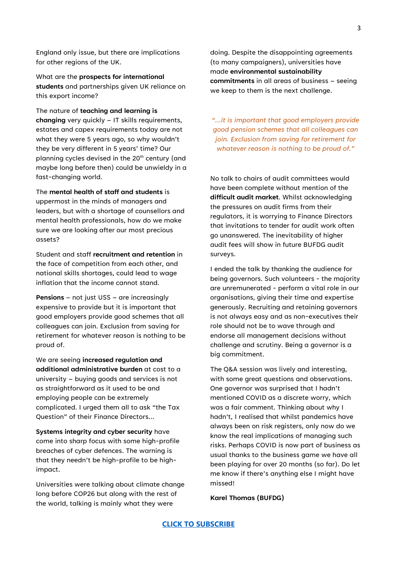England only issue, but there are implications for other regions of the UK.

What are the **prospects for international students** and partnerships given UK reliance on this export income?

The nature of **teaching and learning is changing** very quickly – IT skills requirements, estates and capex requirements today are not what they were 5 years ago, so why wouldn't they be very different in 5 years' time? Our planning cycles devised in the  $20<sup>th</sup>$  century (and maybe long before then) could be unwieldy in a fast-changing world.

The **mental health of staff and students** is uppermost in the minds of managers and leaders, but with a shortage of counsellors and mental health professionals, how do we make sure we are looking after our most precious assets?

Student and staff **recruitment and retention** in the face of competition from each other, and national skills shortages, could lead to wage inflation that the income cannot stand.

**Pensions** – not just USS – are increasingly expensive to provide but it is important that good employers provide good schemes that all colleagues can join. Exclusion from saving for retirement for whatever reason is nothing to be proud of.

We are seeing **increased regulation and additional administrative burden** at cost to a university – buying goods and services is not as straightforward as it used to be and employing people can be extremely complicated. I urged them all to ask "the Tax Question" of their Finance Directors…

**Systems integrity and cyber security** have come into sharp focus with some high-profile breaches of cyber defences. The warning is that they needn't be high-profile to be highimpact.

Universities were talking about climate change long before COP26 but along with the rest of the world, talking is mainly what they were

doing. Despite the disappointing agreements (to many campaigners), universities have made **environmental sustainability commitments** in all areas of business – seeing we keep to them is the next challenge.

*"…it is important that good employers provide good pension schemes that all colleagues can join. Exclusion from saving for retirement for whatever reason is nothing to be proud of."*

No talk to chairs of audit committees would have been complete without mention of the **difficult audit market**. Whilst acknowledging the pressures on audit firms from their regulators, it is worrying to Finance Directors that invitations to tender for audit work often go unanswered. The inevitability of higher audit fees will show in future BUFDG audit surveys.

I ended the talk by thanking the audience for being governors. Such volunteers - the majority are unremunerated - perform a vital role in our organisations, giving their time and expertise generously. Recruiting and retaining governors is not always easy and as non-executives their role should not be to wave through and endorse all management decisions without challenge and scrutiny. Being a governor is a big commitment.

The Q&A session was lively and interesting, with some great questions and observations. One governor was surprised that I hadn't mentioned COVID as a discrete worry, which was a fair comment. Thinking about why I hadn't, I realised that whilst pandemics have always been on risk registers, only now do we know the real implications of managing such risks. Perhaps COVID is now part of business as usual thanks to the business game we have all been playing for over 20 months (so far). Do let me know if there's anything else I might have missed!

**Karel Thomas (BUFDG)**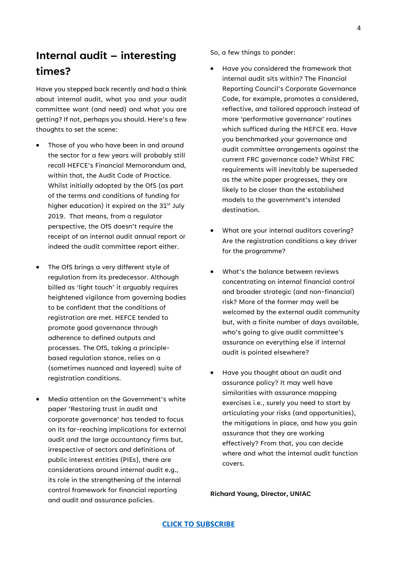### **Internal audit – interesting times?**

Have you stepped back recently and had a think about internal audit, what you and your audit committee want (and need) and what you are getting? If not, perhaps you should. Here's a few thoughts to set the scene:

- Those of you who have been in and around the sector for a few years will probably still recall HEFCE's Financial Memorandum and, within that, the Audit Code of Practice. Whilst initially adopted by the OfS (as part of the terms and conditions of funding for higher education) it expired on the  $31<sup>st</sup>$  July 2019. That means, from a regulator perspective, the OfS doesn't require the receipt of an internal audit annual report or indeed the audit committee report either.
- The OfS brings a very different style of regulation from its predecessor. Although billed as 'light touch' it arguably requires heightened vigilance from governing bodies to be confident that the conditions of registration are met. HEFCE tended to promote good governance through adherence to defined outputs and processes. The OfS, taking a principlebased regulation stance, relies on a (sometimes nuanced and layered) suite of registration conditions.
- Media attention on the Government's white paper 'Restoring trust in audit and corporate governance' has tended to focus on its far-reaching implications for external audit and the large accountancy firms but, irrespective of sectors and definitions of public interest entities (PIEs), there are considerations around internal audit e.g., its role in the strengthening of the internal control framework for financial reporting and audit and assurance policies.

So, a few things to ponder:

- Have you considered the framework that internal audit sits within? The Financial Reporting Council's Corporate Governance Code, for example, promotes a considered, reflective, and tailored approach instead of more 'performative governance' routines which sufficed during the HEFCE era. Have you benchmarked your governance and audit committee arrangements against the current FRC governance code? Whilst FRC requirements will inevitably be superseded as the white paper progresses, they are likely to be closer than the established models to the government's intended destination.
- What are your internal auditors covering? Are the registration conditions a key driver for the programme?
- What's the balance between reviews concentrating on internal financial control and broader strategic (and non-financial) risk? More of the former may well be welcomed by the external audit community but, with a finite number of days available, who's going to give audit committee's assurance on everything else if internal audit is pointed elsewhere?
- Have you thought about an audit and assurance policy? It may well have similarities with assurance mapping exercises i.e., surely you need to start by articulating your risks (and opportunities), the mitigations in place, and how you gain assurance that they are working effectively? From that, you can decide where and what the internal audit function covers.

**Richard Young, Director, UNIAC**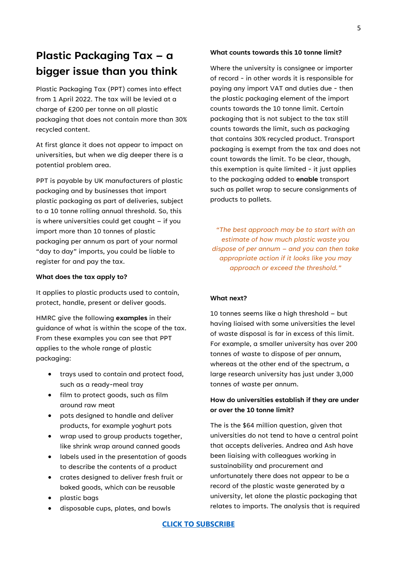### **Plastic Packaging Tax – a bigger issue than you think**

Plastic Packaging Tax (PPT) comes into effect from 1 April 2022. The tax will be levied at a charge of £200 per tonne on all plastic packaging that does not contain more than 30% recycled content.

At first glance it does not appear to impact on universities, but when we dig deeper there is a potential problem area.

PPT is payable by UK manufacturers of plastic packaging and by businesses that import plastic packaging as part of deliveries, subject to a 10 tonne rolling annual threshold. So, this is where universities could get caught – if you import more than 10 tonnes of plastic packaging per annum as part of your normal "day to day" imports, you could be liable to register for and pay the tax.

#### **What does the tax apply to?**

It applies to plastic products used to contain, protect, handle, present or deliver goods.

HMRC give the following **examples** in their guidance of what is within the scope of the tax. From these examples you can see that PPT applies to the whole range of plastic packaging:

- trays used to contain and protect food, such as a ready-meal tray
- film to protect goods, such as film around raw meat
- pots designed to handle and deliver products, for example yoghurt pots
- wrap used to group products together, like shrink wrap around canned goods
- labels used in the presentation of goods to describe the contents of a product
- crates designed to deliver fresh fruit or baked goods, which can be reusable
- plastic bags
- disposable cups, plates, and bowls

#### **What counts towards this 10 tonne limit?**

Where the university is consignee or importer of record - in other words it is responsible for paying any import VAT and duties due - then the plastic packaging element of the import counts towards the 10 tonne limit. Certain packaging that is not subject to the tax still counts towards the limit, such as packaging that contains 30% recycled product. Transport packaging is exempt from the tax and does not count towards the limit. To be clear, though, this exemption is quite limited - it just applies to the packaging added to **enable** transport such as pallet wrap to secure consignments of products to pallets.

*"The best approach may be to start with an estimate of how much plastic waste you dispose of per annum – and you can then take appropriate action if it looks like you may approach or exceed the threshold."*

#### **What next?**

10 tonnes seems like a high threshold – but having liaised with some universities the level of waste disposal is far in excess of this limit. For example, a smaller university has over 200 tonnes of waste to dispose of per annum, whereas at the other end of the spectrum, a large research university has just under 3,000 tonnes of waste per annum.

#### **How do universities establish if they are under or over the 10 tonne limit?**

The is the \$64 million question, given that universities do not tend to have a central point that accepts deliveries. Andrea and Ash have been liaising with colleagues working in sustainability and procurement and unfortunately there does not appear to be a record of the plastic waste generated by a university, let alone the plastic packaging that relates to imports. The analysis that is required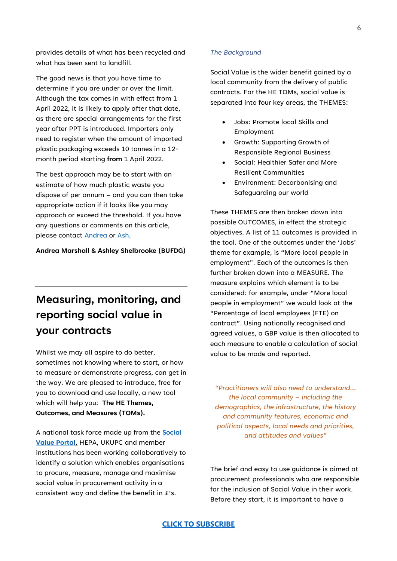provides details of what has been recycled and what has been sent to landfill.

The good news is that you have time to determine if you are under or over the limit. Although the tax comes in with effect from 1 April 2022, it is likely to apply after that date, as there are special arrangements for the first year after PPT is introduced. Importers only need to register when the amount of imported plastic packaging exceeds 10 tonnes in a 12 month period starting **from** 1 April 2022.

The best approach may be to start with an estimate of how much plastic waste you dispose of per annum – and you can then take appropriate action if it looks like you may approach or exceed the threshold. If you have any questions or comments on this article, please contact [Andrea](mailto:andrea@bufdg.ac.uk) or [Ash.](mailto:ashley@hepa.ac.uk)

#### **Andrea Marshall & Ashley Shelbrooke (BUFDG)**

## **Measuring, monitoring, and reporting social value in your contracts**

Whilst we may all aspire to do better, sometimes not knowing where to start, or how to measure or demonstrate progress, can get in the way. We are pleased to introduce, free for you to download and use locally, a new tool which will help you: **The HE Themes, Outcomes, and Measures (TOMs).**

A national task force made up from the **[Social](https://socialvalueportal.com/)  [Value Portal](https://socialvalueportal.com/)**, HEPA, UKUPC and member institutions has been working collaboratively to identify a solution which enables organisations to procure, measure, manage and maximise social value in procurement activity in a consistent way and define the benefit in £'s.

#### *The Background*

Social Value is the wider benefit gained by a local community from the delivery of public contracts. For the HE TOMs, social value is separated into four key areas, the THEMES:

- Jobs: Promote local Skills and Employment
- Growth: Supporting Growth of Responsible Regional Business
- Social: Healthier Safer and More Resilient Communities
- Environment: Decarbonising and Safeguarding our world

These THEMES are then broken down into possible OUTCOMES, in effect the strategic objectives. A list of 11 outcomes is provided in the tool. One of the outcomes under the 'Jobs' theme for example, is "More local people in employment". Each of the outcomes is then further broken down into a MEASURE. The measure explains which element is to be considered: for example, under "More local people in employment" we would look at the "Percentage of local employees (FTE) on contract". Using nationally recognised and agreed values, a GBP value is then allocated to each measure to enable a calculation of social value to be made and reported.

*"Practitioners will also need to understand… the local community – including the demographics, the infrastructure, the history and community features, economic and political aspects, local needs and priorities, and attitudes and values"*

The brief and easy to use guidance is aimed at procurement professionals who are responsible for the inclusion of Social Value in their work. Before they start, it is important to have a